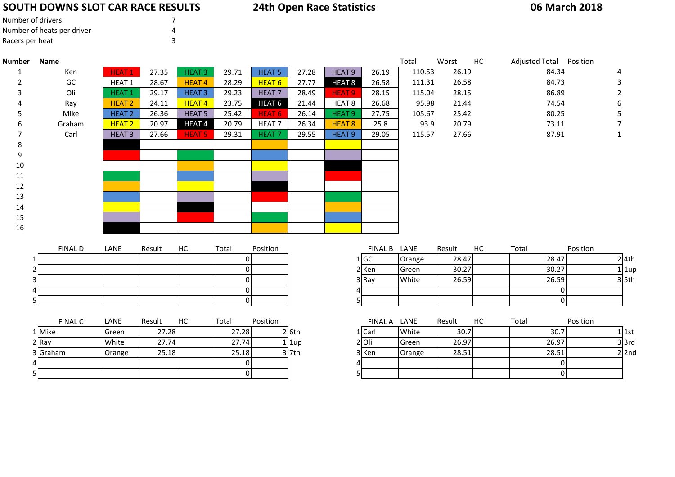# **SOUTH DOWNS SLOT CAR RACE RESULTS**

# **24th Open Race Statistics**

### **06 March 2018**

| Number of drivers          |  |
|----------------------------|--|
| Number of heats per driver |  |
| Racers per heat            |  |

5

| <b>Number</b>            | <b>Name</b>    |                   |        |                   |                |                   |         |                   |              | Total  | Worst  | HC | Adjusted Total Position |                |           |
|--------------------------|----------------|-------------------|--------|-------------------|----------------|-------------------|---------|-------------------|--------------|--------|--------|----|-------------------------|----------------|-----------|
| 1                        | Ken            | <b>HEAT1</b>      | 27.35  | <b>HEAT 3</b>     | 29.71          | <b>HEAT 5</b>     | 27.28   | HEAT <sub>9</sub> | 26.19        | 110.53 | 26.19  |    | 84.34                   |                | 4         |
| $\overline{\phantom{a}}$ | GC             | HEAT <sub>1</sub> | 28.67  | <b>HEAT4</b>      | 28.29          | HEAT <sub>6</sub> | 27.77   | HEAT <sub>8</sub> | 26.58        | 111.31 | 26.58  |    | 84.73                   |                | 3         |
|                          | Oli            | HEAT <sub>1</sub> | 29.17  | <b>HEAT 3</b>     | 29.23          | <b>HEAT7</b>      | 28.49   | HEAT <sub>9</sub> | 28.15        | 115.04 | 28.15  |    | 86.89                   |                | 2         |
|                          | Ray            | <b>HEAT 2</b>     | 24.11  | <b>HEAT4</b>      | 23.75          | HEAT <sub>6</sub> | 21.44   | HEAT <sub>8</sub> | 26.68        | 95.98  | 21.44  |    | 74.54                   |                | 6         |
|                          | Mike           | <b>HEAT 2</b>     | 26.36  | <b>HEAT 5</b>     | 25.42          | <b>HEAT 6</b>     | 26.14   | HEAT <sub>9</sub> | 27.75        | 105.67 | 25.42  |    | 80.25                   |                | 5         |
| 6                        | Graham         | <b>HEAT 2</b>     | 20.97  | HEAT <sub>4</sub> | 20.79          | HEAT <sub>7</sub> | 26.34   | HEAT <sub>8</sub> | 25.8         | 93.9   | 20.79  |    | 73.11                   |                |           |
| 7                        | Carl           | <b>HEAT 3</b>     | 27.66  | <b>HEAT 5</b>     | 29.31          | HEAT <sub>7</sub> | 29.55   | <b>HEAT 9</b>     | 29.05        | 115.57 | 27.66  |    | 87.91                   |                |           |
| 8                        |                |                   |        |                   |                |                   |         |                   |              |        |        |    |                         |                |           |
| 9                        |                |                   |        |                   |                |                   |         |                   |              |        |        |    |                         |                |           |
| 10                       |                |                   |        |                   |                |                   |         |                   |              |        |        |    |                         |                |           |
| 11                       |                |                   |        |                   |                |                   |         |                   |              |        |        |    |                         |                |           |
| 12                       |                |                   |        |                   |                |                   |         |                   |              |        |        |    |                         |                |           |
| 13                       |                |                   |        |                   |                |                   |         |                   |              |        |        |    |                         |                |           |
| 14                       |                |                   |        |                   |                |                   |         |                   |              |        |        |    |                         |                |           |
| 15                       |                |                   |        |                   |                |                   |         |                   |              |        |        |    |                         |                |           |
| 16                       |                |                   |        |                   |                |                   |         |                   |              |        |        |    |                         |                |           |
|                          |                |                   |        |                   |                |                   |         |                   |              |        |        |    |                         |                |           |
|                          | <b>FINAL D</b> | LANE              | Result | HC                | Total          | Position          |         |                   | FINAL B LANE |        | Result | HC | Total                   | Position       |           |
|                          |                |                   |        |                   | ΟI             |                   |         |                   | 1 GC         | Orange | 28.47  |    | 28.47                   |                | $2$ 4th   |
|                          |                |                   |        |                   | $\Omega$       |                   |         |                   | 2 Ken        | Green  | 30.27  |    | 30.27                   |                | $1$   1up |
|                          |                |                   |        |                   | ΟI             |                   |         |                   | 3 Ray        | White  | 26.59  |    | 26.59                   |                | $3$ 5th   |
|                          |                |                   |        |                   | $\overline{0}$ |                   |         | 4                 |              |        |        |    |                         | $\overline{0}$ |           |
|                          |                |                   |        |                   | $\Omega$       |                   |         |                   | 5            |        |        |    |                         | $\overline{0}$ |           |
|                          | <b>FINAL C</b> | LANE              | Result | HC                | Total          | Position          |         |                   | FINAL A LANE |        | Result | HC | Total                   | Position       |           |
|                          | 1 Mike         | Green             | 27.28  |                   | 27.28          |                   | $2$ 6th |                   | 1 Carl       | White  | 30.7   |    |                         | 30.7           | $1$ 1st   |
|                          | 2 Ray          | White             | 27.74  |                   | 27.74          |                   | 1 lup   |                   | $2$ Oli      | Green  | 26.97  |    | 26.97                   |                | $3$ $3rd$ |
|                          | 3 Graham       | Orange            | 25.18  |                   | 25.18          |                   | $3$ 7th |                   | 3 Ken        | Orange | 28.51  |    | 28.51                   |                | $2$ 2nd   |
|                          |                |                   |        |                   | 0              |                   |         | 4                 |              |        |        |    |                         | $\overline{0}$ |           |
|                          |                |                   |        |                   |                |                   |         |                   |              |        |        |    |                         |                |           |

<sup>0</sup> <sup>5</sup> <sup>0</sup>